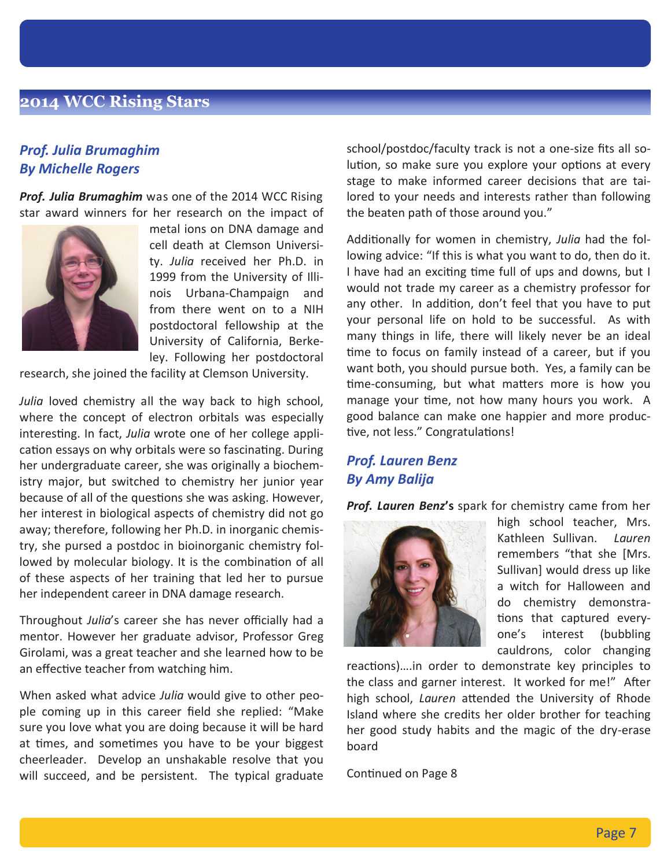# **2014 WCC Rising Stars**

### *Prof. Julia Brumaghim By Michelle Rogers*

*Prof. Julia Brumaghim* was one of the 2014 WCC Rising star award winners for her research on the impact of



metal ions on DNA damage and cell death at Clemson University. *Julia* received her Ph.D. in 1999 from the University of Illinois Urbana-Champaign and from there went on to a NIH postdoctoral fellowship at the University of California, Berkeley. Following her postdoctoral

research, she joined the facility at Clemson University.

*Julia* loved chemistry all the way back to high school, where the concept of electron orbitals was especially interesting. In fact, *Julia* wrote one of her college application essays on why orbitals were so fascinating. During her undergraduate career, she was originally a biochemistry major, but switched to chemistry her junior year because of all of the questions she was asking. However, her interest in biological aspects of chemistry did not go away; therefore, following her Ph.D. in inorganic chemistry, she pursed a postdoc in bioinorganic chemistry followed by molecular biology. It is the combination of all of these aspects of her training that led her to pursue her independent career in DNA damage research.

Throughout *Julia*'s career she has never officially had a mentor. However her graduate advisor, Professor Greg Girolami, was a great teacher and she learned how to be an effective teacher from watching him.

When asked what advice *Julia* would give to other people coming up in this career field she replied: "Make sure you love what you are doing because it will be hard at times, and sometimes you have to be your biggest cheerleader. Develop an unshakable resolve that you will succeed, and be persistent. The typical graduate school/postdoc/faculty track is not a one-size fits all solution, so make sure you explore your options at every stage to make informed career decisions that are tailored to your needs and interests rather than following the beaten path of those around you."

Additionally for women in chemistry, *Julia* had the following advice: "If this is what you want to do, then do it. I have had an exciting time full of ups and downs, but I would not trade my career as a chemistry professor for any other. In addition, don't feel that you have to put your personal life on hold to be successful. As with many things in life, there will likely never be an ideal time to focus on family instead of a career, but if you want both, you should pursue both. Yes, a family can be time-consuming, but what matters more is how you manage your time, not how many hours you work. A good balance can make one happier and more productive, not less." Congratulations!

# *Prof. Lauren Benz By Amy Balija*

*Prof. Lauren Benz***'s** spark for chemistry came from her



high school teacher, Mrs. Kathleen Sullivan. *Lauren* remembers "that she [Mrs. Sullivan] would dress up like a witch for Halloween and do chemistry demonstrations that captured everyone's interest (bubbling cauldrons, color changing

reactions)....in order to demonstrate key principles to the class and garner interest. It worked for me!" After high school, *Lauren* attended the University of Rhode Island where she credits her older brother for teaching her good study habits and the magic of the dry-erase board

Continued on Page 8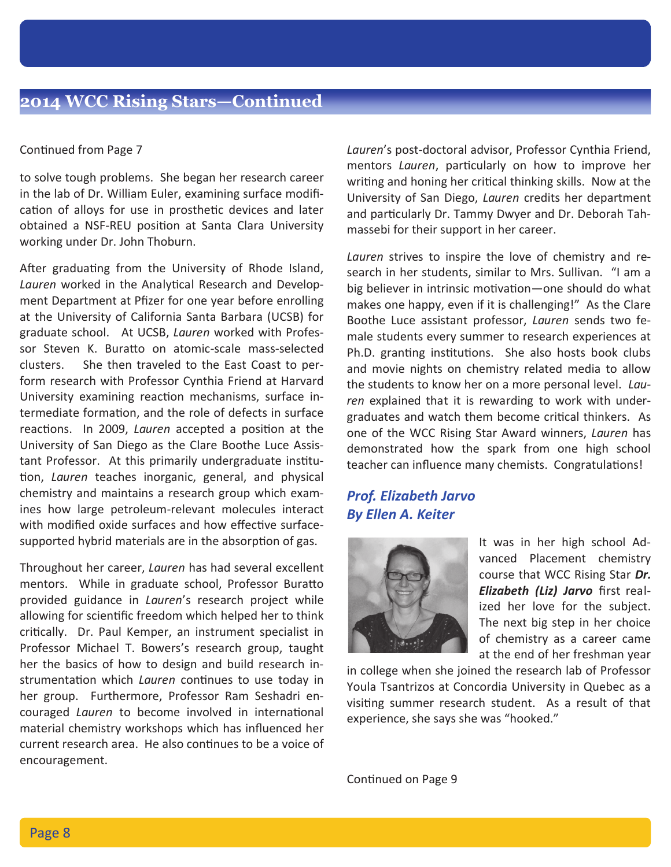#### Continued from Page 7

to solve tough problems. She began her research career in the lab of Dr. William Euler, examining surface modification of alloys for use in prosthetic devices and later obtained a NSF-REU position at Santa Clara University working under Dr. John Thoburn.

After graduating from the University of Rhode Island, Lauren worked in the Analytical Research and Development Department at Pfizer for one year before enrolling at the University of California Santa Barbara (UCSB) for graduate school. At UCSB, *Lauren* worked with Professor Steven K. Buratto on atomic-scale mass-selected clusters. She then traveled to the East Coast to perform research with Professor Cynthia Friend at Harvard University examining reaction mechanisms, surface intermediate formation, and the role of defects in surface reactions. In 2009, *Lauren* accepted a position at the University of San Diego as the Clare Boothe Luce Assistant Professor. At this primarily undergraduate institution, *Lauren* teaches inorganic, general, and physical chemistry and maintains a research group which examines how large petroleum-relevant molecules interact with modified oxide surfaces and how effective surfacesupported hybrid materials are in the absorption of gas.

Throughout her career, *Lauren* has had several excellent mentors. While in graduate school, Professor Buratto provided guidance in *Lauren*'s research project while allowing for scientific freedom which helped her to think critically. Dr. Paul Kemper, an instrument specialist in Professor Michael T. Bowers's research group, taught her the basics of how to design and build research instrumentation which *Lauren* continues to use today in her group. Furthermore, Professor Ram Seshadri encouraged *Lauren* to become involved in international material chemistry workshops which has influenced her current research area. He also continues to be a voice of encouragement.

*Lauren*'s post-doctoral advisor, Professor Cynthia Friend, mentors *Lauren*, particularly on how to improve her writing and honing her critical thinking skills. Now at the University of San Diego, *Lauren* credits her department and particularly Dr. Tammy Dwyer and Dr. Deborah Tahmassebi for their support in her career.

*Lauren* strives to inspire the love of chemistry and research in her students, similar to Mrs. Sullivan. "I am a big believer in intrinsic motivation—one should do what makes one happy, even if it is challenging!" As the Clare Boothe Luce assistant professor, *Lauren* sends two female students every summer to research experiences at Ph.D. granting institutions. She also hosts book clubs and movie nights on chemistry related media to allow the students to know her on a more personal level. *Lauren* explained that it is rewarding to work with undergraduates and watch them become critical thinkers. As one of the WCC Rising Star Award winners, *Lauren* has demonstrated how the spark from one high school teacher can influence many chemists. Congratulations!

### *Prof. Elizabeth Jarvo By Ellen A. Keiter*



It was in her high school Advanced Placement chemistry course that WCC Rising Star *Dr. Elizabeth (Liz) Jarvo* first realized her love for the subject. The next big step in her choice of chemistry as a career came at the end of her freshman year

in college when she joined the research lab of Professor Youla Tsantrizos at Concordia University in Quebec as a visiting summer research student. As a result of that experience, she says she was "hooked."

Continued on Page 9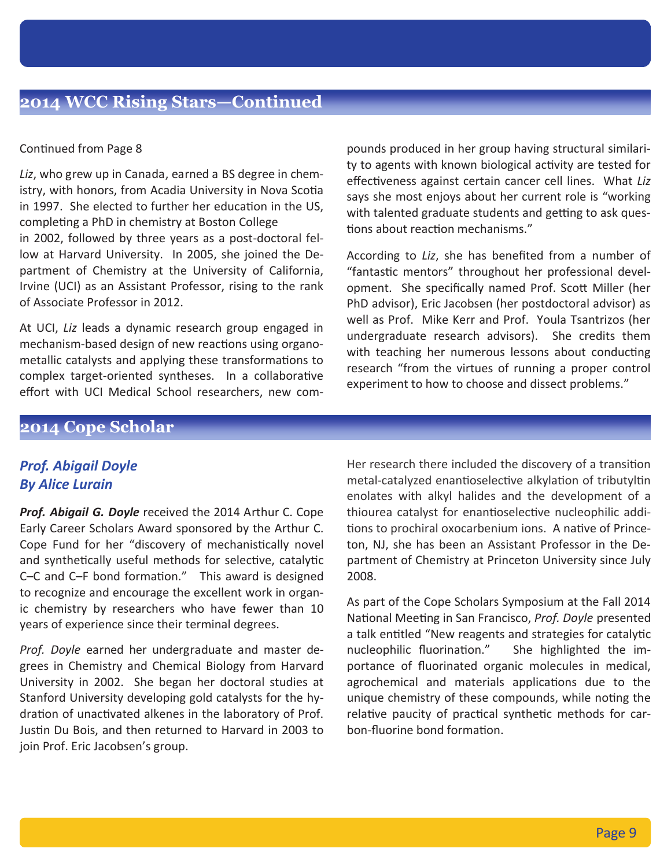#### Continued from Page 8

*Liz*, who grew up in Canada, earned a BS degree in chemistry, with honors, from Acadia University in Nova Scotia in 1997. She elected to further her education in the US, completing a PhD in chemistry at Boston College in 2002, followed by three years as a post-doctoral fellow at Harvard University. In 2005, she joined the Department of Chemistry at the University of California, Irvine (UCI) as an Assistant Professor, rising to the rank of Associate Professor in 2012.

At UCI, *Liz* leads a dynamic research group engaged in mechanism-based design of new reactions using organometallic catalysts and applying these transformations to complex target-oriented syntheses. In a collaborative effort with UCI Medical School researchers, new compounds produced in her group having structural similarity to agents with known biological activity are tested for effectiveness against certain cancer cell lines. What *Liz* says she most enjoys about her current role is "working with talented graduate students and getting to ask questions about reaction mechanisms."

According to *Liz*, she has benefited from a number of "fantastic mentors" throughout her professional development. She specifically named Prof. Scott Miller (her PhD advisor), Eric Jacobsen (her postdoctoral advisor) as well as Prof. Mike Kerr and Prof. Youla Tsantrizos (her undergraduate research advisors). She credits them with teaching her numerous lessons about conducting research "from the virtues of running a proper control experiment to how to choose and dissect problems."

# **2014 Cope Scholar**

### *Prof. Abigail Doyle By Alice Lurain*

*Prof. Abigail G. Doyle* received the 2014 Arthur C. Cope Early Career Scholars Award sponsored by the Arthur C. Cope Fund for her "discovery of mechanistically novel and synthetically useful methods for selective, catalytic  $C-C$  and  $C-F$  bond formation." This award is designed to recognize and encourage the excellent work in organic chemistry by researchers who have fewer than 10 years of experience since their terminal degrees.

*Prof. Doyle* earned her undergraduate and master degrees in Chemistry and Chemical Biology from Harvard University in 2002. She began her doctoral studies at Stanford University developing gold catalysts for the hydration of unactivated alkenes in the laboratory of Prof. Justin Du Bois, and then returned to Harvard in 2003 to join Prof. Eric Jacobsen's group.

Her research there included the discovery of a transition metal-catalyzed enantioselective alkylation of tributyltin enolates with alkyl halides and the development of a thiourea catalyst for enantioselective nucleophilic additions to prochiral oxocarbenium ions. A native of Princeton, NJ, she has been an Assistant Professor in the Department of Chemistry at Princeton University since July 2008.

As part of the Cope Scholars Symposium at the Fall 2014 National Meeting in San Francisco, *Prof. Doyle* presented a talk entitled "New reagents and strategies for catalytic nucleophilic fluorination." She highlighted the importance of fluorinated organic molecules in medical, agrochemical and materials applications due to the unique chemistry of these compounds, while noting the relative paucity of practical synthetic methods for carbon-fluorine bond formation.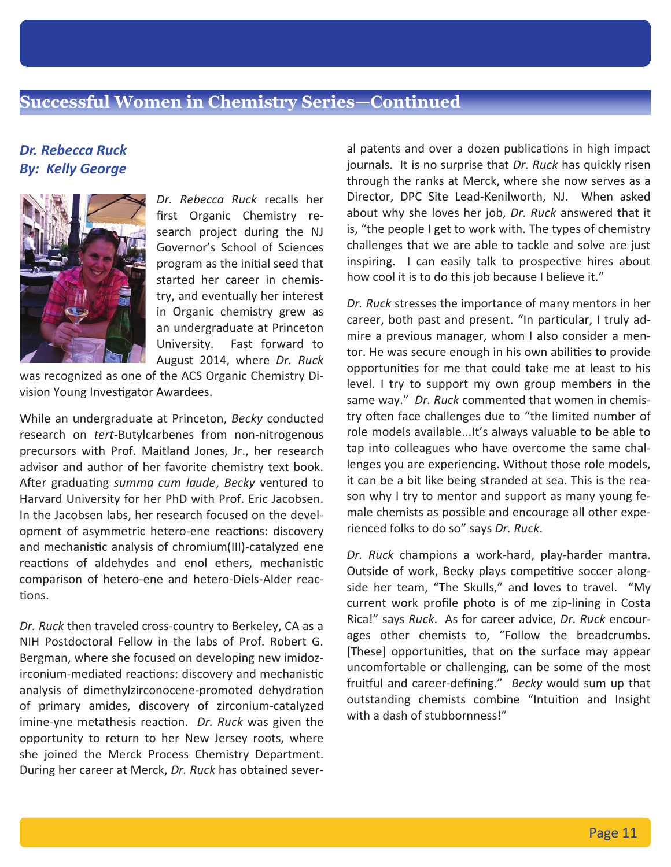## *Dr. Rebecca Ruck By: Kelly George*



*Dr. Rebecca Ruck* recalls her first Organic Chemistry research project during the NJ Governor's School of Sciences program as the initial seed that started her career in chemistry, and eventually her interest in Organic chemistry grew as an undergraduate at Princeton University. Fast forward to August 2014, where *Dr. Ruck*

was recognized as one of the ACS Organic Chemistry Division Young Investigator Awardees.

While an undergraduate at Princeton, *Becky* conducted research on *tert*-Butylcarbenes from non-nitrogenous precursors with Prof. Maitland Jones, Jr., her research advisor and author of her favorite chemistry text book. After graduating *summa cum laude*, *Becky* ventured to Harvard University for her PhD with Prof. Eric Jacobsen. In the Jacobsen labs, her research focused on the development of asymmetric hetero-ene reactions: discovery and mechanistic analysis of chromium(III)-catalyzed ene reactions of aldehydes and enol ethers, mechanistic comparison of hetero-ene and hetero-Diels-Alder reac tions.

*Dr. Ruck* then traveled cross-country to Berkeley, CA as a NIH Postdoctoral Fellow in the labs of Prof. Robert G. Bergman, where she focused on developing new imidozirconium-mediated reactions: discovery and mechanistic analysis of dimethylzirconocene-promoted dehydration of primary amides, discovery of zirconium-catalyzed imine-yne metathesis reaction. *Dr. Ruck* was given the opportunity to return to her New Jersey roots, where she joined the Merck Process Chemistry Department. During her career at Merck, *Dr. Ruck* has obtained several patents and over a dozen publications in high impact journals. It is no surprise that *Dr. Ruck* has quickly risen through the ranks at Merck, where she now serves as a Director, DPC Site Lead-Kenilworth, NJ. When asked about why she loves her job, *Dr. Ruck* answered that it is, "the people I get to work with. The types of chemistry challenges that we are able to tackle and solve are just inspiring. I can easily talk to prospective hires about how cool it is to do this job because I believe it."

*Dr. Ruck* stresses the importance of many mentors in her career, both past and present. "In particular, I truly admire a previous manager, whom I also consider a mentor. He was secure enough in his own abilities to provide opportunities for me that could take me at least to his level. I try to support my own group members in the same way." *Dr. Ruck* commented that women in chemistry often face challenges due to "the limited number of role models available...It's always valuable to be able to tap into colleagues who have overcome the same challenges you are experiencing. Without those role models, it can be a bit like being stranded at sea. This is the reason why I try to mentor and support as many young female chemists as possible and encourage all other experienced folks to do so" says *Dr. Ruck*.

*Dr. Ruck* champions a work-hard, play-harder mantra. Outside of work, Becky plays competitive soccer alongside her team, "The Skulls," and loves to travel. "My current work profile photo is of me zip-lining in Costa Rica!" says *Ruck*. As for career advice, *Dr. Ruck* encourages other chemists to, "Follow the breadcrumbs. [These] opportunities, that on the surface may appear uncomfortable or challenging, can be some of the most fruitful and career-defining." *Becky* would sum up that outstanding chemists combine "Intuition and Insight with a dash of stubbornness!"